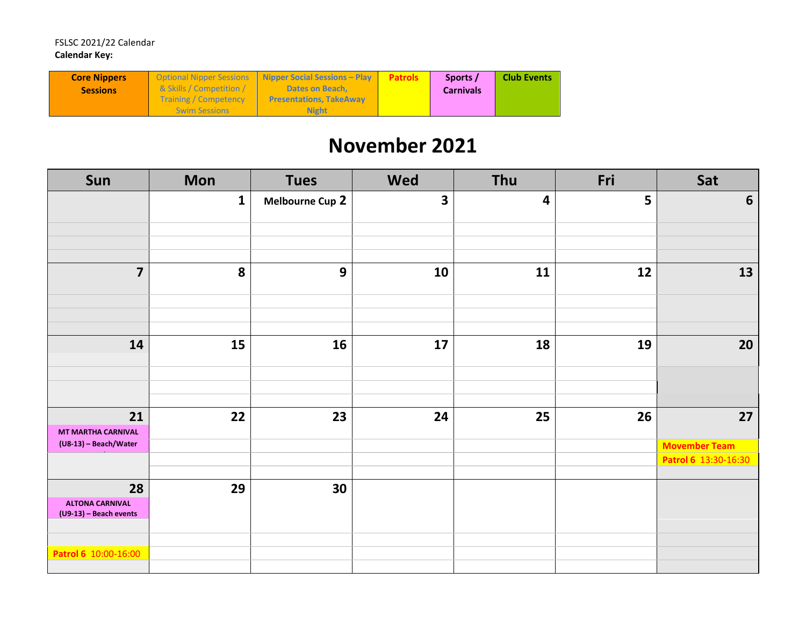| <b>Core Nippers</b> |                                     | Optional Nipper Sessions Nipper Social Sessions - Play | <b>Patrols</b> | Sports /         | <b>Club Events</b> |
|---------------------|-------------------------------------|--------------------------------------------------------|----------------|------------------|--------------------|
| <b>Sessions</b>     | <b>&amp; Skills / Competition /</b> | <b>Dates on Beach.</b>                                 |                | <b>Carnivals</b> |                    |
|                     | <b>Training / Competency</b>        | <b>Presentations, TakeAway</b>                         |                |                  |                    |
|                     | <b>Swim Sessions</b>                | <b>Night</b>                                           |                |                  |                    |

## **November 2021**

| Sun                                                    | <b>Mon</b>   | <b>Tues</b>            | <b>Wed</b>              | Thu | Fri | Sat                  |
|--------------------------------------------------------|--------------|------------------------|-------------------------|-----|-----|----------------------|
|                                                        | $\mathbf{1}$ | <b>Melbourne Cup 2</b> | $\overline{\mathbf{3}}$ | 4   | 5   | 6                    |
|                                                        |              |                        |                         |     |     |                      |
| $\overline{7}$                                         | 8            | $\mathbf{9}$           | 10                      | 11  | 12  | 13                   |
|                                                        |              |                        |                         |     |     |                      |
| 14                                                     | 15           | 16                     | 17                      | 18  | 19  | 20                   |
|                                                        |              |                        |                         |     |     |                      |
| 21<br><b>MT MARTHA CARNIVAL</b>                        | 22           | 23                     | 24                      | 25  | 26  | 27                   |
| (U8-13) - Beach/Water                                  |              |                        |                         |     |     | <b>Movember Team</b> |
|                                                        |              |                        |                         |     |     | Patrol 6 13:30-16:30 |
| 28<br><b>ALTONA CARNIVAL</b><br>(U9-13) - Beach events | 29           | 30                     |                         |     |     |                      |
| Patrol 6 10:00-16:00                                   |              |                        |                         |     |     |                      |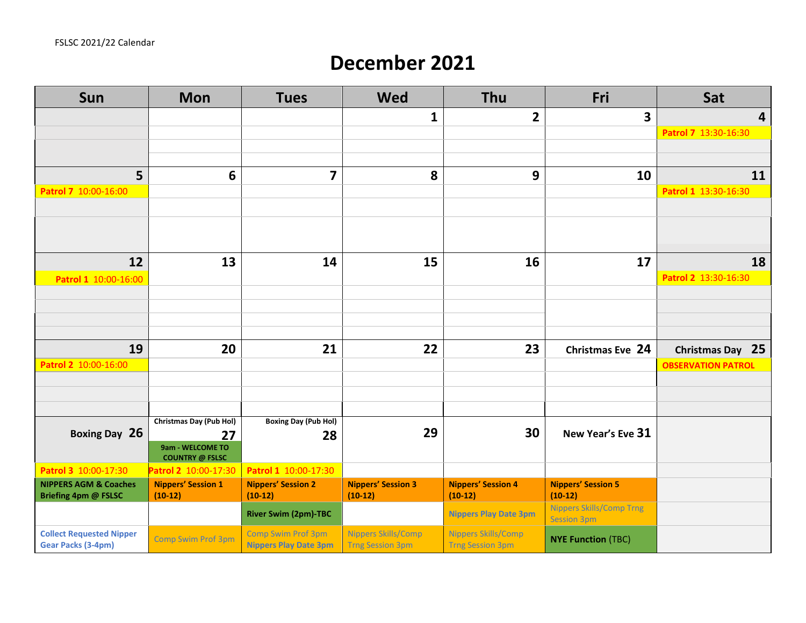## **December 2021**

| Sun                                                          | <b>Mon</b>                                 | <b>Tues</b>                                               | <b>Wed</b>                                     | Thu                                                   | Fri                                                   | Sat                       |
|--------------------------------------------------------------|--------------------------------------------|-----------------------------------------------------------|------------------------------------------------|-------------------------------------------------------|-------------------------------------------------------|---------------------------|
|                                                              |                                            |                                                           | $\mathbf{1}$                                   | $\overline{2}$                                        | 3                                                     | $\overline{4}$            |
|                                                              |                                            |                                                           |                                                |                                                       |                                                       | Patrol 7 13:30-16:30      |
|                                                              |                                            |                                                           |                                                |                                                       |                                                       |                           |
|                                                              |                                            |                                                           |                                                |                                                       |                                                       |                           |
| 5                                                            | 6                                          | $\overline{\mathbf{z}}$                                   | 8                                              | 9                                                     | 10                                                    | 11                        |
| Patrol 7 10:00-16:00                                         |                                            |                                                           |                                                |                                                       |                                                       | Patrol 1 13:30-16:30      |
|                                                              |                                            |                                                           |                                                |                                                       |                                                       |                           |
|                                                              |                                            |                                                           |                                                |                                                       |                                                       |                           |
| 12                                                           | 13                                         | 14                                                        | 15                                             | 16                                                    | 17                                                    | 18                        |
| Patrol 1 10:00-16:00                                         |                                            |                                                           |                                                |                                                       |                                                       | Patrol 2 13:30-16:30      |
|                                                              |                                            |                                                           |                                                |                                                       |                                                       |                           |
|                                                              |                                            |                                                           |                                                |                                                       |                                                       |                           |
|                                                              |                                            |                                                           |                                                |                                                       |                                                       |                           |
|                                                              | 20                                         |                                                           |                                                |                                                       |                                                       |                           |
| 19                                                           |                                            | 21                                                        | 22                                             | 23                                                    | Christmas Eve 24                                      | Christmas Day 25          |
| Patrol 2 10:00-16:00                                         |                                            |                                                           |                                                |                                                       |                                                       | <b>OBSERVATION PATROL</b> |
|                                                              |                                            |                                                           |                                                |                                                       |                                                       |                           |
|                                                              |                                            |                                                           |                                                |                                                       |                                                       |                           |
|                                                              | Christmas Day (Pub Hol)                    | <b>Boxing Day (Pub Hol)</b>                               |                                                |                                                       |                                                       |                           |
| Boxing Day 26                                                | 27                                         | 28                                                        | 29                                             | 30                                                    | New Year's Eve 31                                     |                           |
|                                                              | 9am - WELCOME TO<br><b>COUNTRY @ FSLSC</b> |                                                           |                                                |                                                       |                                                       |                           |
| Patrol 3 10:00-17:30                                         | Patrol 2 10:00-17:30                       | Patrol 1 10:00-17:30                                      |                                                |                                                       |                                                       |                           |
| <b>NIPPERS AGM &amp; Coaches</b><br>Briefing 4pm @ FSLSC     | <b>Nippers' Session 1</b><br>$(10-12)$     | <b>Nippers' Session 2</b><br>$(10-12)$                    | <b>Nippers' Session 3</b><br>$(10-12)$         | <b>Nippers' Session 4</b><br>$(10-12)$                | <b>Nippers' Session 5</b><br>$(10-12)$                |                           |
|                                                              |                                            | <b>River Swim (2pm)-TBC</b>                               |                                                | <b>Nippers Play Date 3pm</b>                          | <b>Nippers Skills/Comp Trng</b><br><b>Session 3pm</b> |                           |
| <b>Collect Requested Nipper</b><br><b>Gear Packs (3-4pm)</b> | <b>Comp Swim Prof 3pm</b>                  | <b>Comp Swim Prof 3pm</b><br><b>Nippers Play Date 3pm</b> | Nippers Skills/Comp<br><b>Trng Session 3pm</b> | <b>Nippers Skills/Comp</b><br><b>Trng Session 3pm</b> | <b>NYE Function (TBC)</b>                             |                           |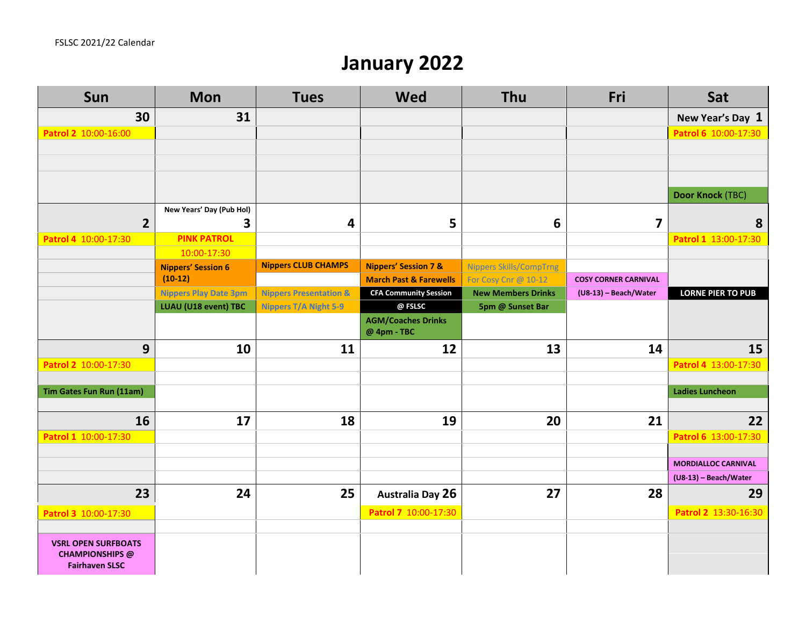## **January 2022**

| Sun                                                                           | <b>Mon</b>                        | <b>Tues</b>                       | Wed                                      | Thu                            | Fri                         | Sat                        |
|-------------------------------------------------------------------------------|-----------------------------------|-----------------------------------|------------------------------------------|--------------------------------|-----------------------------|----------------------------|
| 30                                                                            | 31                                |                                   |                                          |                                |                             | New Year's Day 1           |
| Patrol 2 10:00-16:00                                                          |                                   |                                   |                                          |                                |                             | Patrol 6 10:00-17:30       |
|                                                                               |                                   |                                   |                                          |                                |                             |                            |
|                                                                               |                                   |                                   |                                          |                                |                             |                            |
|                                                                               |                                   |                                   |                                          |                                |                             |                            |
|                                                                               |                                   |                                   |                                          |                                |                             | <b>Door Knock (TBC)</b>    |
|                                                                               | New Years' Day (Pub Hol)          |                                   |                                          |                                |                             |                            |
| $\overline{2}$                                                                | 3                                 | 4                                 | 5                                        | 6                              | $\overline{\mathbf{z}}$     | 8                          |
| Patrol 4 10:00-17:30                                                          | <b>PINK PATROL</b><br>10:00-17:30 |                                   |                                          |                                |                             | Patrol 1 13:00-17:30       |
|                                                                               | <b>Nippers' Session 6</b>         | <b>Nippers CLUB CHAMPS</b>        | <b>Nippers' Session 7 &amp;</b>          | <b>Nippers Skills/CompTrng</b> |                             |                            |
|                                                                               | $(10-12)$                         |                                   | <b>March Past &amp; Farewells</b>        | For Cosy Cnr @ 10-12           | <b>COSY CORNER CARNIVAL</b> |                            |
|                                                                               | <b>Nippers Play Date 3pm</b>      | <b>Nippers Presentation &amp;</b> | <b>CFA Community Session</b>             | <b>New Members Drinks</b>      | (U8-13) - Beach/Water       | <b>LORNE PIER TO PUB</b>   |
|                                                                               | LUAU (U18 event) TBC              | <b>Nippers T/A Night 5-9</b>      | @ FSLSC                                  | 5pm @ Sunset Bar               |                             |                            |
|                                                                               |                                   |                                   | <b>AGM/Coaches Drinks</b><br>@ 4pm - TBC |                                |                             |                            |
| 9                                                                             | 10                                | 11                                | 12                                       | 13                             | 14                          | 15                         |
| Patrol 2 10:00-17:30                                                          |                                   |                                   |                                          |                                |                             | Patrol 4 13:00-17:30       |
|                                                                               |                                   |                                   |                                          |                                |                             |                            |
| Tim Gates Fun Run (11am)                                                      |                                   |                                   |                                          |                                |                             | <b>Ladies Luncheon</b>     |
|                                                                               |                                   |                                   |                                          |                                |                             |                            |
| 16                                                                            | 17                                | 18                                | 19                                       | 20                             | 21                          | 22                         |
| Patrol 1 10:00-17:30                                                          |                                   |                                   |                                          |                                |                             | Patrol 6 13:00-17:30       |
|                                                                               |                                   |                                   |                                          |                                |                             | <b>MORDIALLOC CARNIVAL</b> |
|                                                                               |                                   |                                   |                                          |                                |                             | (U8-13) - Beach/Water      |
| 23                                                                            | 24                                | 25                                | <b>Australia Day 26</b>                  | 27                             | 28                          | 29                         |
| Patrol 3 10:00-17:30                                                          |                                   |                                   | Patrol 7 10:00-17:30                     |                                |                             | Patrol 2 13:30-16:30       |
|                                                                               |                                   |                                   |                                          |                                |                             |                            |
| <b>VSRL OPEN SURFBOATS</b><br><b>CHAMPIONSHIPS</b> @<br><b>Fairhaven SLSC</b> |                                   |                                   |                                          |                                |                             |                            |